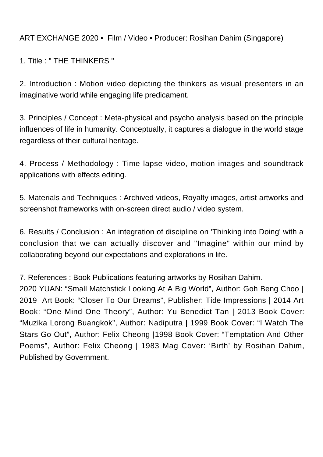ART EXCHANGE 2020 • Film / Video • Producer: Rosihan Dahim (Singapore)

1. Title : " THE THINKERS "

2. Introduction : Motion video depicting the thinkers as visual presenters in an imaginative world while engaging life predicament.

3. Principles / Concept : Meta-physical and psycho analysis based on the principle influences of life in humanity. Conceptually, it captures a dialogue in the world stage regardless of their cultural heritage.

4. Process / Methodology : Time lapse video, motion images and soundtrack applications with effects editing.

5. Materials and Techniques : Archived videos, Royalty images, artist artworks and screenshot frameworks with on-screen direct audio / video system.

6. Results / Conclusion : An integration of discipline on 'Thinking into Doing' with a conclusion that we can actually discover and "Imagine" within our mind by collaborating beyond our expectations and explorations in life.

7. References : Book Publications featuring artworks by Rosihan Dahim.

2020 YUAN: "Small Matchstick Looking At A Big World", Author: Goh Beng Choo | 2019 Art Book: "Closer To Our Dreams", Publisher: Tide Impressions | 2014 Art Book: "One Mind One Theory", Author: Yu Benedict Tan | 2013 Book Cover: "Muzika Lorong Buangkok", Author: Nadiputra | 1999 Book Cover: "I Watch The Stars Go Out", Author: Felix Cheong |1998 Book Cover: "Temptation And Other Poems", Author: Felix Cheong | 1983 Mag Cover: 'Birth' by Rosihan Dahim, Published by Government.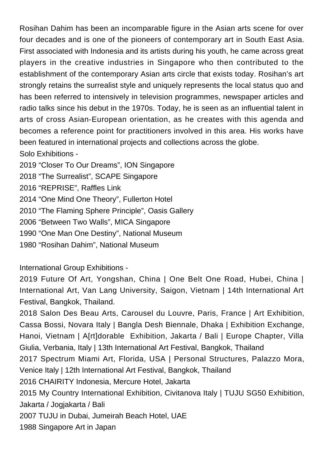Rosihan Dahim has been an incomparable figure in the Asian arts scene for over four decades and is one of the pioneers of contemporary art in South East Asia. First associated with Indonesia and its artists during his youth, he came across great players in the creative industries in Singapore who then contributed to the establishment of the contemporary Asian arts circle that exists today. Rosihan's art strongly retains the surrealist style and uniquely represents the local status quo and has been referred to intensively in television programmes, newspaper articles and radio talks since his debut in the 1970s. Today, he is seen as an influential talent in arts of cross Asian-European orientation, as he creates with this agenda and becomes a reference point for practitioners involved in this area. His works have been featured in international projects and collections across the globe. Solo Exhibitions - 2019 "Closer To Our Dreams", ION Singapore 2018 "The Surrealist", SCAPE Singapore

2016 "REPRISE", Raffles Link

2014 "One Mind One Theory", Fullerton Hotel

2010 "The Flaming Sphere Principle", Oasis Gallery

2006 "Between Two Walls", MICA Singapore

1990 "One Man One Destiny", National Museum

1980 "Rosihan Dahim", National Museum

## International Group Exhibitions -

2019 Future Of Art, Yongshan, China | One Belt One Road, Hubei, China | International Art, Van Lang University, Saigon, Vietnam | 14th International Art Festival, Bangkok, Thailand.

2018 Salon Des Beau Arts, Carousel du Louvre, Paris, France | Art Exhibition, Cassa Bossi, Novara Italy | Bangla Desh Biennale, Dhaka | Exhibition Exchange, Hanoi, Vietnam | A[rt]dorable Exhibition, Jakarta / Bali | Europe Chapter, Villa Giulia, Verbania, Italy | 13th International Art Festival, Bangkok, Thailand

2017 Spectrum Miami Art, Florida, USA | Personal Structures, Palazzo Mora, Venice Italy | 12th International Art Festival, Bangkok, Thailand

2016 CHAIRITY Indonesia, Mercure Hotel, Jakarta

2015 My Country International Exhibition, Civitanova Italy | TUJU SG50 Exhibition, Jakarta / Jogjakarta / Bali

2007 TUJU in Dubai, Jumeirah Beach Hotel, UAE

1988 Singapore Art in Japan